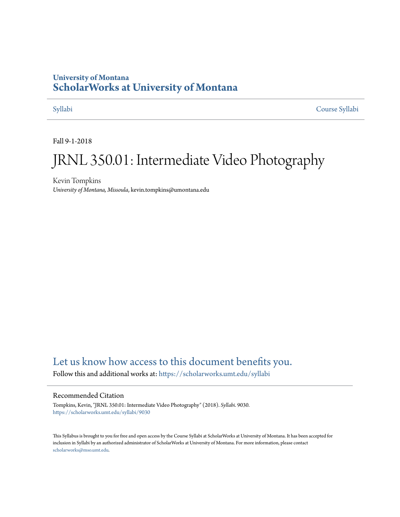# **University of Montana [ScholarWorks at University of Montana](https://scholarworks.umt.edu?utm_source=scholarworks.umt.edu%2Fsyllabi%2F9030&utm_medium=PDF&utm_campaign=PDFCoverPages)**

[Syllabi](https://scholarworks.umt.edu/syllabi?utm_source=scholarworks.umt.edu%2Fsyllabi%2F9030&utm_medium=PDF&utm_campaign=PDFCoverPages) [Course Syllabi](https://scholarworks.umt.edu/course_syllabi?utm_source=scholarworks.umt.edu%2Fsyllabi%2F9030&utm_medium=PDF&utm_campaign=PDFCoverPages)

Fall 9-1-2018

# JRNL 350.01: Intermediate Video Photography

Kevin Tompkins *University of Montana, Missoula*, kevin.tompkins@umontana.edu

# [Let us know how access to this document benefits you.](https://goo.gl/forms/s2rGfXOLzz71qgsB2)

Follow this and additional works at: [https://scholarworks.umt.edu/syllabi](https://scholarworks.umt.edu/syllabi?utm_source=scholarworks.umt.edu%2Fsyllabi%2F9030&utm_medium=PDF&utm_campaign=PDFCoverPages)

#### Recommended Citation

Tompkins, Kevin, "JRNL 350.01: Intermediate Video Photography" (2018). *Syllabi*. 9030. [https://scholarworks.umt.edu/syllabi/9030](https://scholarworks.umt.edu/syllabi/9030?utm_source=scholarworks.umt.edu%2Fsyllabi%2F9030&utm_medium=PDF&utm_campaign=PDFCoverPages)

This Syllabus is brought to you for free and open access by the Course Syllabi at ScholarWorks at University of Montana. It has been accepted for inclusion in Syllabi by an authorized administrator of ScholarWorks at University of Montana. For more information, please contact [scholarworks@mso.umt.edu](mailto:scholarworks@mso.umt.edu).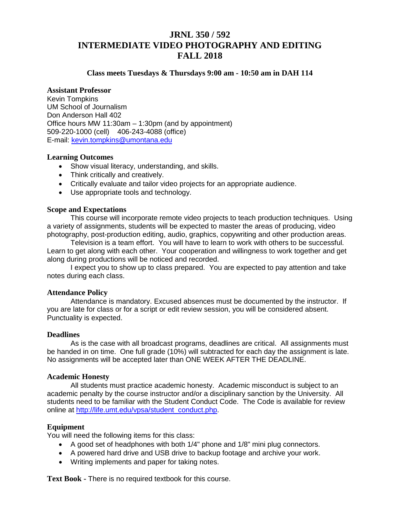# **JRNL 350 / 592 INTERMEDIATE VIDEO PHOTOGRAPHY AND EDITING FALL 2018**

#### **Class meets Tuesdays & Thursdays 9:00 am - 10:50 am in DAH 114**

#### **Assistant Professor**

Kevin Tompkins UM School of Journalism Don Anderson Hall 402 Office hours MW 11:30am – 1:30pm (and by appointment) 509-220-1000 (cell) 406-243-4088 (office) E-mail: [kevin.tompkins@umontana.edu](mailto:kevin.tompkins@umontana.edu)

#### **Learning Outcomes**

- Show visual literacy, understanding, and skills.
- Think critically and creatively.
- Critically evaluate and tailor video projects for an appropriate audience.
- Use appropriate tools and technology.

#### **Scope and Expectations**

This course will incorporate remote video projects to teach production techniques. Using a variety of assignments, students will be expected to master the areas of producing, video photography, post-production editing, audio, graphics, copywriting and other production areas.

Television is a team effort. You will have to learn to work with others to be successful. Learn to get along with each other. Your cooperation and willingness to work together and get along during productions will be noticed and recorded.

I expect you to show up to class prepared. You are expected to pay attention and take notes during each class.

#### **Attendance Policy**

Attendance is mandatory. Excused absences must be documented by the instructor. If you are late for class or for a script or edit review session, you will be considered absent. Punctuality is expected.

#### **Deadlines**

As is the case with all broadcast programs, deadlines are critical. All assignments must be handed in on time. One full grade (10%) will subtracted for each day the assignment is late. No assignments will be accepted later than ONE WEEK AFTER THE DEADLINE.

#### **Academic Honesty**

All students must practice academic honesty. Academic misconduct is subject to an academic penalty by the course instructor and/or a disciplinary sanction by the University. All students need to be familiar with the Student Conduct Code. The Code is available for review online at [http://life.umt.edu/vpsa/student\\_conduct.php.](http://life.umt.edu/vpsa/student_conduct.php)

#### **Equipment**

You will need the following items for this class:

- A good set of headphones with both 1/4" phone and 1/8" mini plug connectors.
- A powered hard drive and USB drive to backup footage and archive your work.
- Writing implements and paper for taking notes.

**Text Book -** There is no required textbook for this course.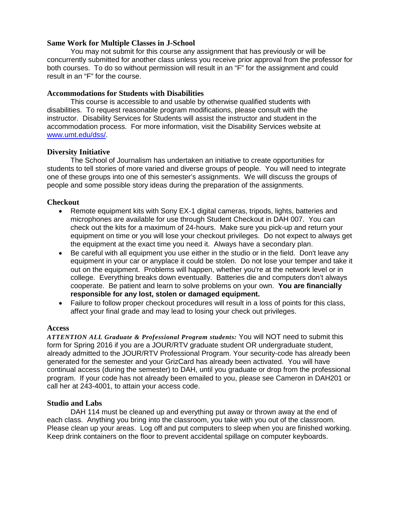#### **Same Work for Multiple Classes in J-School**

You may not submit for this course any assignment that has previously or will be concurrently submitted for another class unless you receive prior approval from the professor for both courses. To do so without permission will result in an "F" for the assignment and could result in an "F" for the course.

#### **Accommodations for Students with Disabilities**

This course is accessible to and usable by otherwise qualified students with disabilities. To request reasonable program modifications, please consult with the instructor. Disability Services for Students will assist the instructor and student in the accommodation process. For more information, visit the Disability Services website at [www.umt.edu/dss/.](https://messaging.umt.edu/exchweb/bin/redir.asp?URL=http://www.umt.edu/dss/)

#### **Diversity Initiative**

The School of Journalism has undertaken an initiative to create opportunities for students to tell stories of more varied and diverse groups of people. You will need to integrate one of these groups into one of this semester's assignments. We will discuss the groups of people and some possible story ideas during the preparation of the assignments.

#### **Checkout**

- Remote equipment kits with Sony EX-1 digital cameras, tripods, lights, batteries and microphones are available for use through Student Checkout in DAH 007. You can check out the kits for a maximum of 24-hours. Make sure you pick-up and return your equipment on time or you will lose your checkout privileges. Do not expect to always get the equipment at the exact time you need it. Always have a secondary plan.
- Be careful with all equipment you use either in the studio or in the field. Don't leave any equipment in your car or anyplace it could be stolen. Do not lose your temper and take it out on the equipment. Problems will happen, whether you're at the network level or in college. Everything breaks down eventually. Batteries die and computers don't always cooperate. Be patient and learn to solve problems on your own. **You are financially responsible for any lost, stolen or damaged equipment.**
- Failure to follow proper checkout procedures will result in a loss of points for this class, affect your final grade and may lead to losing your check out privileges.

#### **Access**

*ATTENTION ALL Graduate & Professional Program students:* You will NOT need to submit this form for Spring 2016 if you are a JOUR/RTV graduate student OR undergraduate student, already admitted to the JOUR/RTV Professional Program. Your security-code has already been generated for the semester and your GrizCard has already been activated. You will have continual access (during the semester) to DAH, until you graduate or drop from the professional program. If your code has not already been emailed to you, please see Cameron in DAH201 or call her at 243-4001, to attain your access code.

#### **Studio and Labs**

DAH 114 must be cleaned up and everything put away or thrown away at the end of each class. Anything you bring into the classroom, you take with you out of the classroom. Please clean up your areas. Log off and put computers to sleep when you are finished working. Keep drink containers on the floor to prevent accidental spillage on computer keyboards.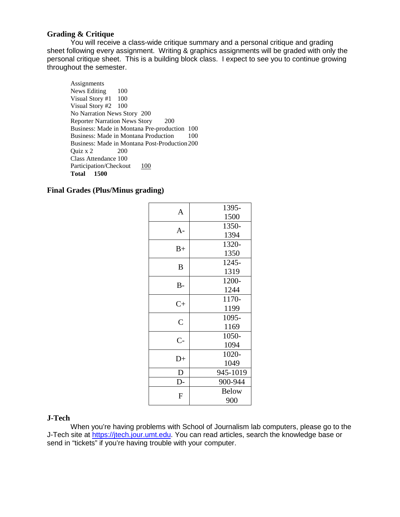#### **Grading & Critique**

You will receive a class-wide critique summary and a personal critique and grading sheet following every assignment. Writing & graphics assignments will be graded with only the personal critique sheet. This is a building block class. I expect to see you to continue growing throughout the semester.

**Assignments** News Editing 100 Visual Story #1 100 Visual Story #2 100 No Narration News Story 200 Reporter Narration News Story 200 Business: Made in Montana Pre-production 100 Business: Made in Montana Production 100 Business: Made in Montana Post-Production 200<br>Quiz x 2 200 Quiz  $x$  2 Class Attendance 100 Participation/Checkout 100 **Total 1500**

#### **Final Grades (Plus/Minus grading)**

| A              | 1395-        |
|----------------|--------------|
|                | 1500         |
| $A -$          | 1350-        |
|                | 1394         |
| $B+$           | 1320-        |
|                | 1350         |
| B              | 1245-        |
|                | 1319         |
| $B -$          | 1200-        |
|                | 1244         |
| $C+$           | 1170-        |
|                | 1199         |
| $\overline{C}$ | 1095-        |
|                | 1169         |
| $C-$           | 1050-        |
|                | 1094         |
| $D+$           | 1020-        |
|                | 1049         |
| D              | 945-1019     |
| $D-$           | 900-944      |
| F              | <b>Below</b> |
|                | 900          |

#### **J-Tech**

When you're having problems with School of Journalism lab computers, please go to the J-Tech site at [https://jtech.jour.umt.edu.](https://jtech.jour.umt.edu/) You can read articles, search the knowledge base or send in "tickets" if you're having trouble with your computer.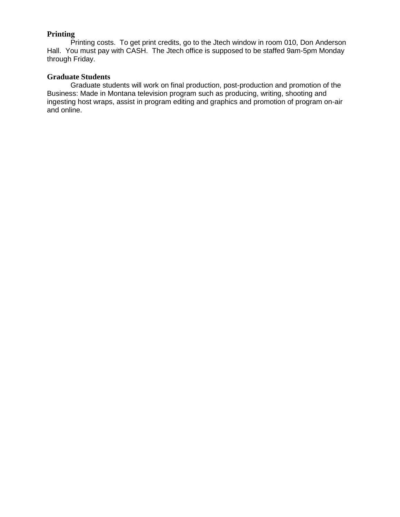### **Printing**

Printing costs. To get print credits, go to the Jtech window in room 010, Don Anderson Hall. You must pay with CASH. The Jtech office is supposed to be staffed 9am-5pm Monday through Friday.

#### **Graduate Students**

Graduate students will work on final production, post-production and promotion of the Business: Made in Montana television program such as producing, writing, shooting and ingesting host wraps, assist in program editing and graphics and promotion of program on-air and online.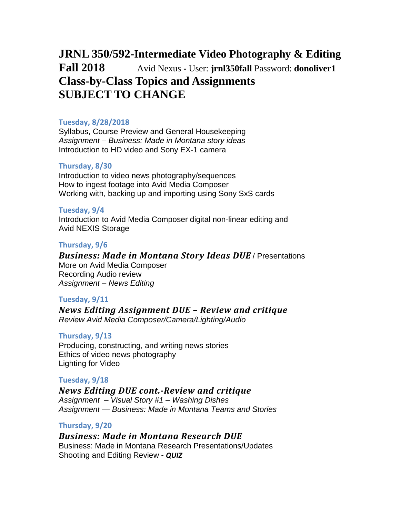# **JRNL 350/592-Intermediate Video Photography & Editing Fall 2018** •• Avid Nexus - User: **jrnl350fall** Password: **donoliver1 Class-by-Class Topics and Assignments SUBJECT TO CHANGE**

#### **Tuesday, 8/28/2018**

Syllabus, Course Preview and General Housekeeping *Assignment – Business: Made in Montana story ideas* Introduction to HD video and Sony EX-1 camera

#### **Thursday, 8/30**

Introduction to video news photography/sequences How to ingest footage into Avid Media Composer Working with, backing up and importing using Sony SxS cards

#### **Tuesday, 9/4**

Introduction to Avid Media Composer digital non-linear editing and Avid NEXIS Storage

#### **Thursday, 9/6**

*Business: Made in Montana Story Ideas DUE* / Presentations More on Avid Media Composer Recording Audio review *Assignment – News Editing*

#### **Tuesday, 9/11**

*News Editing Assignment DUE – Review and critique Review Avid Media Composer/Camera/Lighting/Audio*

#### **Thursday, 9/13**

Producing, constructing, and writing news stories Ethics of video news photography Lighting for Video

#### **Tuesday, 9/18**

#### *News Editing DUE cont.-Review and critique*

*Assignment – Visual Story #1 – Washing Dishes Assignment — Business: Made in Montana Teams and Stories*

#### **Thursday, 9/20**

#### *Business: Made in Montana Research DUE*

Business: Made in Montana Research Presentations/Updates Shooting and Editing Review - *QUIZ*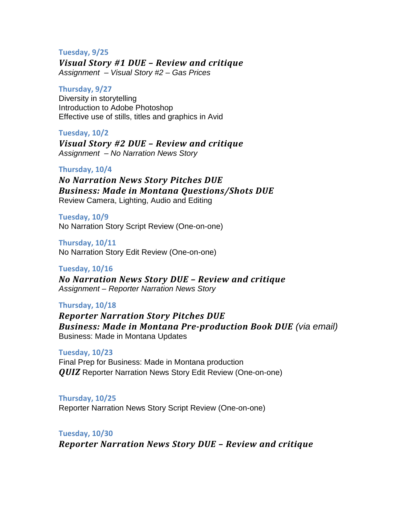#### **Tuesday, 9/25**

*Visual Story #1 DUE – Review and critique Assignment – Visual Story #2 – Gas Prices*

#### **Thursday, 9/27**

Diversity in storytelling Introduction to Adobe Photoshop Effective use of stills, titles and graphics in Avid

#### **Tuesday, 10/2**

*Visual Story #2 DUE – Review and critique Assignment – No Narration News Story*

#### **Thursday, 10/4**

*No Narration News Story Pitches DUE Business: Made in Montana Questions/Shots DUE*  Review Camera, Lighting, Audio and Editing

**Tuesday, 10/9** No Narration Story Script Review (One-on-one)

**Thursday, 10/11** No Narration Story Edit Review (One-on-one)

#### **Tuesday, 10/16**

*No Narration News Story DUE – Review and critique Assignment – Reporter Narration News Story*

#### **Thursday, 10/18**

*Reporter Narration Story Pitches DUE Business: Made in Montana Pre-production Book DUE (via email)* Business: Made in Montana Updates

**Tuesday, 10/23** Final Prep for Business: Made in Montana production *QUIZ* Reporter Narration News Story Edit Review (One-on-one)

**Thursday, 10/25** Reporter Narration News Story Script Review (One-on-one)

**Tuesday, 10/30** *Reporter Narration News Story DUE – Review and critique*